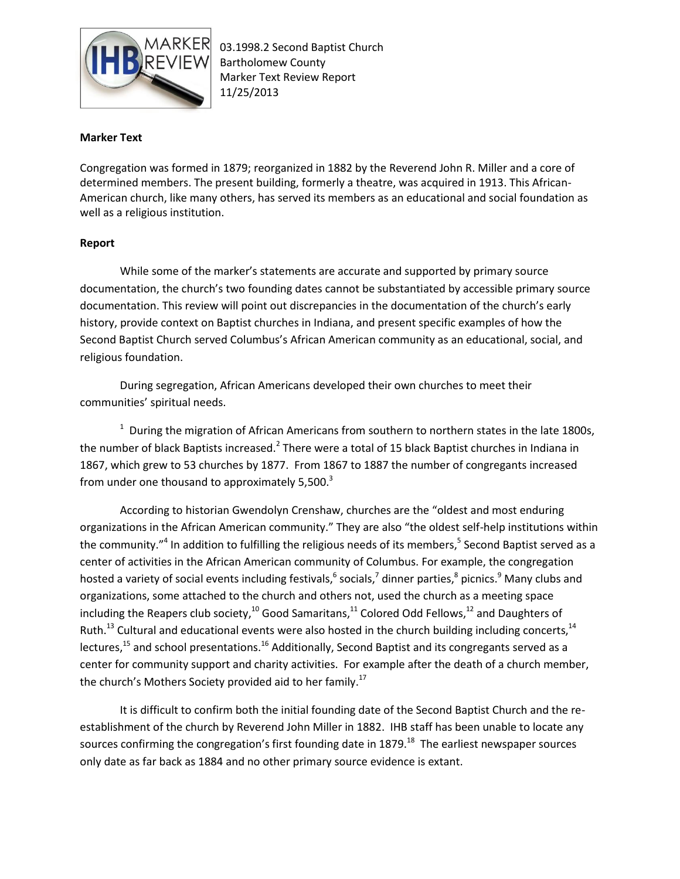

## **Marker Text**

Congregation was formed in 1879; reorganized in 1882 by the Reverend John R. Miller and a core of determined members. The present building, formerly a theatre, was acquired in 1913. This African-American church, like many others, has served its members as an educational and social foundation as well as a religious institution.

## **Report**

While some of the marker's statements are accurate and supported by primary source documentation, the church's two founding dates cannot be substantiated by accessible primary source documentation. This review will point out discrepancies in the documentation of the church's early history, provide context on Baptist churches in Indiana, and present specific examples of how the Second Baptist Church served Columbus's African American community as an educational, social, and religious foundation.

During segregation, African Americans developed their own churches to meet their communities' spiritual needs.

 $1$  During the migration of African Americans from southern to northern states in the late 1800s, the number of black Baptists increased.<sup>2</sup> There were a total of 15 black Baptist churches in Indiana in 1867, which grew to 53 churches by 1877. From 1867 to 1887 the number of congregants increased from under one thousand to approximately  $5,500.^3$ 

According to historian Gwendolyn Crenshaw, churches are the "oldest and most enduring organizations in the African American community." They are also "the oldest self-help institutions within the community."<sup>4</sup> In addition to fulfilling the religious needs of its members,<sup>5</sup> Second Baptist served as a center of activities in the African American community of Columbus. For example, the congregation hosted a variety of social events including festivals,<sup>6</sup> socials,<sup>7</sup> dinner parties,<sup>8</sup> picnics.<sup>9</sup> Many clubs and organizations, some attached to the church and others not, used the church as a meeting space including the Reapers club society,<sup>10</sup> Good Samaritans,<sup>11</sup> Colored Odd Fellows,<sup>12</sup> and Daughters of Ruth.<sup>13</sup> Cultural and educational events were also hosted in the church building including concerts,<sup>14</sup> lectures,<sup>15</sup> and school presentations.<sup>16</sup> Additionally, Second Baptist and its congregants served as a center for community support and charity activities. For example after the death of a church member, the church's Mothers Society provided aid to her family.<sup>17</sup>

It is difficult to confirm both the initial founding date of the Second Baptist Church and the reestablishment of the church by Reverend John Miller in 1882. IHB staff has been unable to locate any sources confirming the congregation's first founding date in 1879. $^{18}$  The earliest newspaper sources only date as far back as 1884 and no other primary source evidence is extant.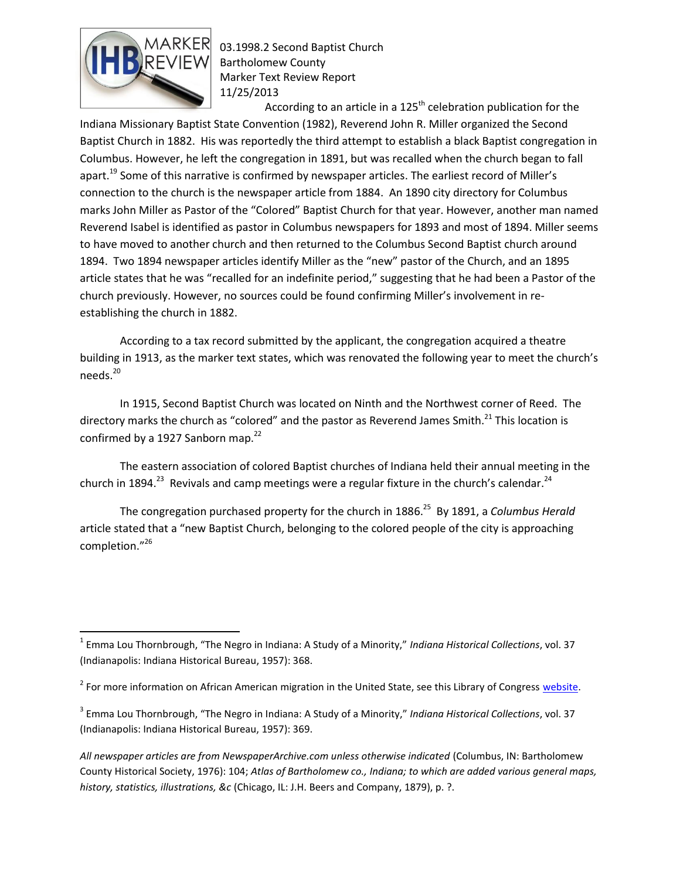

 $\overline{\phantom{a}}$ 

03.1998.2 Second Baptist Church Bartholomew County Marker Text Review Report 11/25/2013

According to an article in a  $125<sup>th</sup>$  celebration publication for the Indiana Missionary Baptist State Convention (1982), Reverend John R. Miller organized the Second Baptist Church in 1882. His was reportedly the third attempt to establish a black Baptist congregation in Columbus. However, he left the congregation in 1891, but was recalled when the church began to fall apart.<sup>19</sup> Some of this narrative is confirmed by newspaper articles. The earliest record of Miller's connection to the church is the newspaper article from 1884. An 1890 city directory for Columbus marks John Miller as Pastor of the "Colored" Baptist Church for that year. However, another man named Reverend Isabel is identified as pastor in Columbus newspapers for 1893 and most of 1894. Miller seems to have moved to another church and then returned to the Columbus Second Baptist church around 1894. Two 1894 newspaper articles identify Miller as the "new" pastor of the Church, and an 1895 article states that he was "recalled for an indefinite period," suggesting that he had been a Pastor of the church previously. However, no sources could be found confirming Miller's involvement in reestablishing the church in 1882.

According to a tax record submitted by the applicant, the congregation acquired a theatre building in 1913, as the marker text states, which was renovated the following year to meet the church's needs.<sup>20</sup>

In 1915, Second Baptist Church was located on Ninth and the Northwest corner of Reed. The directory marks the church as "colored" and the pastor as Reverend James Smith.<sup>21</sup> This location is confirmed by a 1927 Sanborn map. $^{22}$ 

The eastern association of colored Baptist churches of Indiana held their annual meeting in the church in 1894.<sup>23</sup> Revivals and camp meetings were a regular fixture in the church's calendar.<sup>24</sup>

The congregation purchased property for the church in 1886.<sup>25</sup> By 1891, a *Columbus Herald* article stated that a "new Baptist Church, belonging to the colored people of the city is approaching completion."<sup>26</sup>

*All newspaper articles are from NewspaperArchive.com unless otherwise indicated* (Columbus, IN: Bartholomew County Historical Society, 1976): 104; *Atlas of Bartholomew co., Indiana; to which are added various general maps, history, statistics, illustrations, &c* (Chicago, IL: J.H. Beers and Company, 1879), p. ?.

<sup>1</sup> Emma Lou Thornbrough, "The Negro in Indiana: A Study of a Minority," *Indiana Historical Collections*, vol. 37 (Indianapolis: Indiana Historical Bureau, 1957): 368.

<sup>&</sup>lt;sup>2</sup> For more information on African American migration in the United State, see this Library of Congress [website.](http://loc.gov/exhibits/african/afam008.html)

<sup>3</sup> Emma Lou Thornbrough, "The Negro in Indiana: A Study of a Minority," *Indiana Historical Collections*, vol. 37 (Indianapolis: Indiana Historical Bureau, 1957): 369.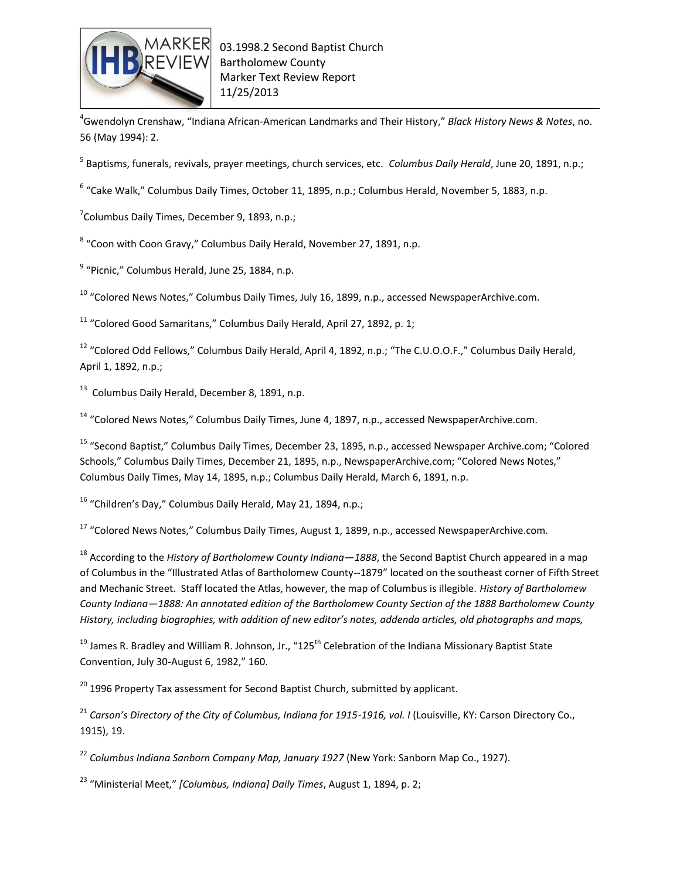

4 Gwendolyn Crenshaw, "Indiana African-American Landmarks and Their History," *Black History News & Notes*, no. 56 (May 1994): 2.

5 Baptisms, funerals, revivals, prayer meetings, church services, etc. *Columbus Daily Herald*, June 20, 1891, n.p.;

 $^6$  "Cake Walk," Columbus Daily Times, October 11, 1895, n.p.; Columbus Herald, November 5, 1883, n.p.

<sup>7</sup>Columbus Daily Times, December 9, 1893, n.p.;

<sup>8</sup> "Coon with Coon Gravy," Columbus Daily Herald, November 27, 1891, n.p.

<sup>9</sup> "Picnic," Columbus Herald, June 25, 1884, n.p.

 $10$  "Colored News Notes," Columbus Daily Times, July 16, 1899, n.p., accessed NewspaperArchive.com.

 $11$  "Colored Good Samaritans," Columbus Daily Herald, April 27, 1892, p. 1;

<sup>12</sup> "Colored Odd Fellows," Columbus Daily Herald, April 4, 1892, n.p.; "The C.U.O.O.F.," Columbus Daily Herald, April 1, 1892, n.p.;

 $^{13}$  Columbus Daily Herald, December 8, 1891, n.p.

 $14$  "Colored News Notes," Columbus Daily Times, June 4, 1897, n.p., accessed NewspaperArchive.com.

<sup>15</sup> "Second Baptist," Columbus Daily Times, December 23, 1895, n.p., accessed Newspaper Archive.com; "Colored Schools," Columbus Daily Times, December 21, 1895, n.p., NewspaperArchive.com; "Colored News Notes," Columbus Daily Times, May 14, 1895, n.p.; Columbus Daily Herald, March 6, 1891, n.p.

 $16$  "Children's Day," Columbus Daily Herald, May 21, 1894, n.p.;

<sup>17</sup> "Colored News Notes," Columbus Daily Times, August 1, 1899, n.p., accessed NewspaperArchive.com.

<sup>18</sup> According to the *History of Bartholomew County Indiana—1888*, the Second Baptist Church appeared in a map of Columbus in the "Illustrated Atlas of Bartholomew County--1879" located on the southeast corner of Fifth Street and Mechanic Street. Staff located the Atlas, however, the map of Columbus is illegible. *History of Bartholomew County Indiana—1888: An annotated edition of the Bartholomew County Section of the 1888 Bartholomew County History, including biographies, with addition of new editor's notes, addenda articles, old photographs and maps,*

<sup>19</sup> James R. Bradley and William R. Johnson, Jr., "125<sup>th</sup> Celebration of the Indiana Missionary Baptist State Convention, July 30-August 6, 1982," 160.

 $20$  1996 Property Tax assessment for Second Baptist Church, submitted by applicant.

<sup>21</sup> Carson's Directory of the City of Columbus, Indiana for 1915-1916, vol. I (Louisville, KY: Carson Directory Co., 1915), 19.

<sup>22</sup> *Columbus Indiana Sanborn Company Map, January 1927* (New York: Sanborn Map Co., 1927).

<sup>23</sup> "Ministerial Meet," *[Columbus, Indiana] Daily Times*, August 1, 1894, p. 2;